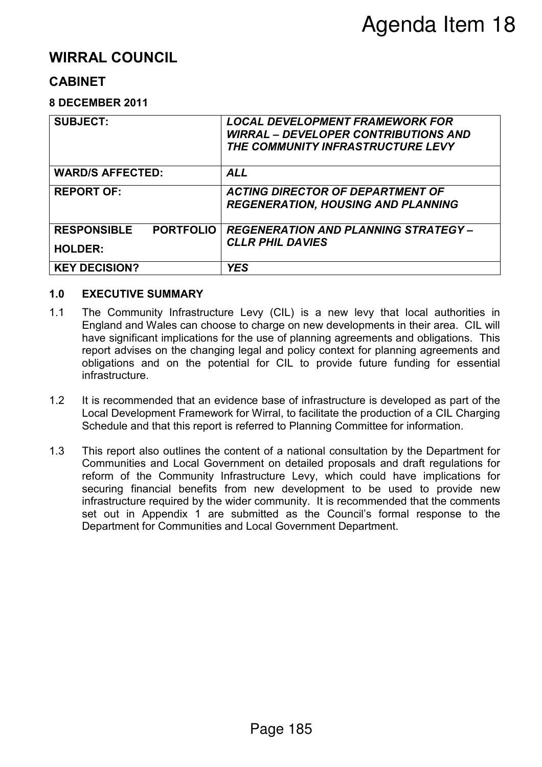# **WIRRAL COUNCIL**

## **CABINET**

### **8 DECEMBER 2011**

| <b>SUBJECT:</b>                                          | <b>LOCAL DEVELOPMENT FRAMEWORK FOR</b><br><b>WIRRAL – DEVELOPER CONTRIBUTIONS AND</b><br>THE COMMUNITY INFRASTRUCTURE LEVY |  |  |
|----------------------------------------------------------|----------------------------------------------------------------------------------------------------------------------------|--|--|
| <b>WARD/S AFFECTED:</b>                                  | <b>ALL</b>                                                                                                                 |  |  |
| <b>REPORT OF:</b>                                        | <b>ACTING DIRECTOR OF DEPARTMENT OF</b><br><b>REGENERATION, HOUSING AND PLANNING</b>                                       |  |  |
| <b>PORTFOLIO</b><br><b>RESPONSIBLE</b><br><b>HOLDER:</b> | <b>REGENERATION AND PLANNING STRATEGY -</b><br><b>CLLR PHIL DAVIES</b>                                                     |  |  |
| <b>KEY DECISION?</b>                                     | <b>YES</b>                                                                                                                 |  |  |

### **1.0 EXECUTIVE SUMMARY**

- 1.1 The Community Infrastructure Levy (CIL) is a new levy that local authorities in England and Wales can choose to charge on new developments in their area. CIL will have significant implications for the use of planning agreements and obligations. This report advises on the changing legal and policy context for planning agreements and obligations and on the potential for CIL to provide future funding for essential infrastructure.
- 1.2 It is recommended that an evidence base of infrastructure is developed as part of the Local Development Framework for Wirral, to facilitate the production of a CIL Charging Schedule and that this report is referred to Planning Committee for information.
- 1.3 This report also outlines the content of a national consultation by the Department for Communities and Local Government on detailed proposals and draft regulations for reform of the Community Infrastructure Levy, which could have implications for securing financial benefits from new development to be used to provide new infrastructure required by the wider community. It is recommended that the comments set out in Appendix 1 are submitted as the Council's formal response to the Department for Communities and Local Government Department.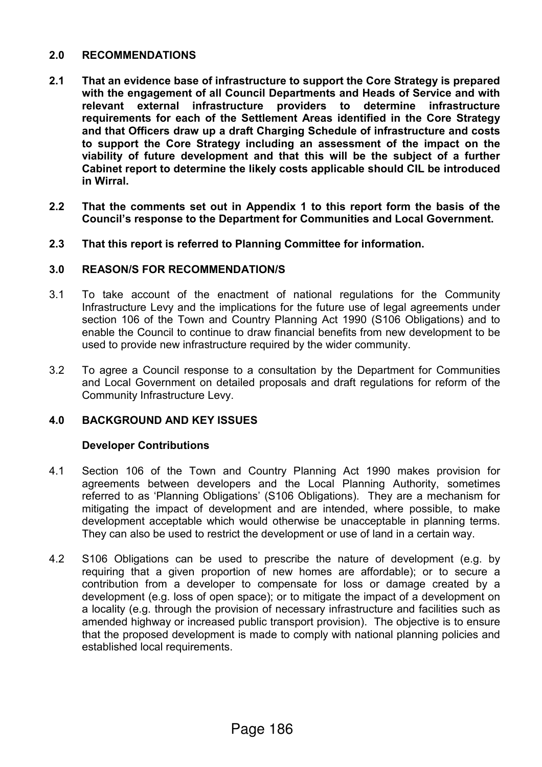### **2.0 RECOMMENDATIONS**

- **2.1 That an evidence base of infrastructure to support the Core Strategy is prepared with the engagement of all Council Departments and Heads of Service and with relevant external infrastructure providers to determine infrastructure requirements for each of the Settlement Areas identified in the Core Strategy and that Officers draw up a draft Charging Schedule of infrastructure and costs to support the Core Strategy including an assessment of the impact on the viability of future development and that this will be the subject of a further Cabinet report to determine the likely costs applicable should CIL be introduced in Wirral.**
- **2.2 That the comments set out in Appendix 1 to this report form the basis of the Council's response to the Department for Communities and Local Government.**
- **2.3 That this report is referred to Planning Committee for information.**

### **3.0 REASON/S FOR RECOMMENDATION/S**

- 3.1 To take account of the enactment of national regulations for the Community Infrastructure Levy and the implications for the future use of legal agreements under section 106 of the Town and Country Planning Act 1990 (S106 Obligations) and to enable the Council to continue to draw financial benefits from new development to be used to provide new infrastructure required by the wider community.
- 3.2 To agree a Council response to a consultation by the Department for Communities and Local Government on detailed proposals and draft regulations for reform of the Community Infrastructure Levy.

### **4.0 BACKGROUND AND KEY ISSUES**

#### **Developer Contributions**

- 4.1 Section 106 of the Town and Country Planning Act 1990 makes provision for agreements between developers and the Local Planning Authority, sometimes referred to as 'Planning Obligations' (S106 Obligations). They are a mechanism for mitigating the impact of development and are intended, where possible, to make development acceptable which would otherwise be unacceptable in planning terms. They can also be used to restrict the development or use of land in a certain way.
- 4.2 S106 Obligations can be used to prescribe the nature of development (e.g. by requiring that a given proportion of new homes are affordable); or to secure a contribution from a developer to compensate for loss or damage created by a development (e.g. loss of open space); or to mitigate the impact of a development on a locality (e.g. through the provision of necessary infrastructure and facilities such as amended highway or increased public transport provision). The objective is to ensure that the proposed development is made to comply with national planning policies and established local requirements.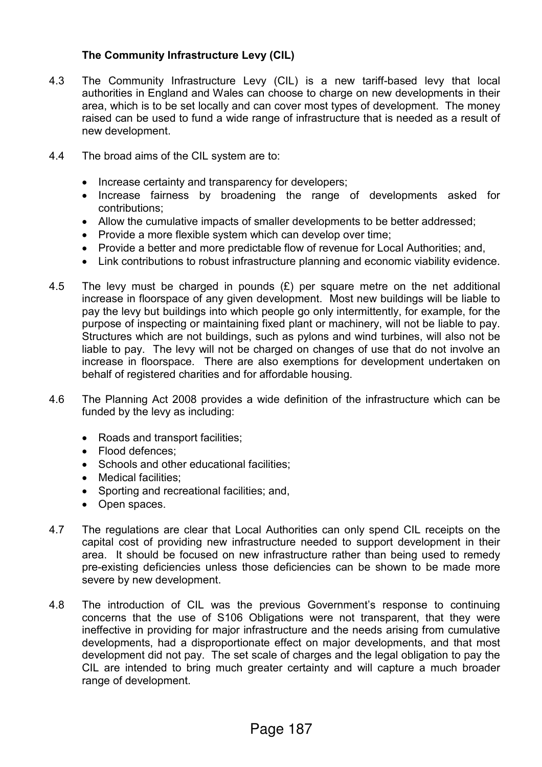### **The Community Infrastructure Levy (CIL)**

- 4.3 The Community Infrastructure Levy (CIL) is a new tariff-based levy that local authorities in England and Wales can choose to charge on new developments in their area, which is to be set locally and can cover most types of development. The money raised can be used to fund a wide range of infrastructure that is needed as a result of new development.
- 4.4 The broad aims of the CIL system are to:
	- Increase certainty and transparency for developers;
	- Increase fairness by broadening the range of developments asked for contributions;
	- Allow the cumulative impacts of smaller developments to be better addressed;
	- Provide a more flexible system which can develop over time;
	- Provide a better and more predictable flow of revenue for Local Authorities; and,
	- Link contributions to robust infrastructure planning and economic viability evidence.
- 4.5 The levy must be charged in pounds  $(E)$  per square metre on the net additional increase in floorspace of any given development. Most new buildings will be liable to pay the levy but buildings into which people go only intermittently, for example, for the purpose of inspecting or maintaining fixed plant or machinery, will not be liable to pay. Structures which are not buildings, such as pylons and wind turbines, will also not be liable to pay. The levy will not be charged on changes of use that do not involve an increase in floorspace. There are also exemptions for development undertaken on behalf of registered charities and for affordable housing.
- 4.6 The Planning Act 2008 provides a wide definition of the infrastructure which can be funded by the levy as including:
	- Roads and transport facilities;
	- Flood defences:
	- Schools and other educational facilities:
	- Medical facilities;
	- Sporting and recreational facilities; and,
	- Open spaces.
- 4.7 The regulations are clear that Local Authorities can only spend CIL receipts on the capital cost of providing new infrastructure needed to support development in their area. It should be focused on new infrastructure rather than being used to remedy pre-existing deficiencies unless those deficiencies can be shown to be made more severe by new development.
- 4.8 The introduction of CIL was the previous Government's response to continuing concerns that the use of S106 Obligations were not transparent, that they were ineffective in providing for major infrastructure and the needs arising from cumulative developments, had a disproportionate effect on major developments, and that most development did not pay. The set scale of charges and the legal obligation to pay the CIL are intended to bring much greater certainty and will capture a much broader range of development.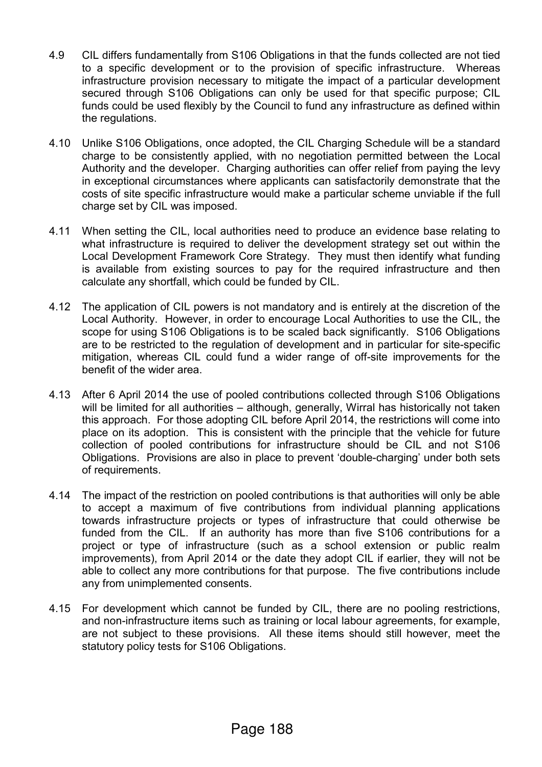- 4.9 CIL differs fundamentally from S106 Obligations in that the funds collected are not tied to a specific development or to the provision of specific infrastructure. Whereas infrastructure provision necessary to mitigate the impact of a particular development secured through S106 Obligations can only be used for that specific purpose; CIL funds could be used flexibly by the Council to fund any infrastructure as defined within the regulations.
- 4.10 Unlike S106 Obligations, once adopted, the CIL Charging Schedule will be a standard charge to be consistently applied, with no negotiation permitted between the Local Authority and the developer. Charging authorities can offer relief from paying the levy in exceptional circumstances where applicants can satisfactorily demonstrate that the costs of site specific infrastructure would make a particular scheme unviable if the full charge set by CIL was imposed.
- 4.11 When setting the CIL, local authorities need to produce an evidence base relating to what infrastructure is required to deliver the development strategy set out within the Local Development Framework Core Strategy. They must then identify what funding is available from existing sources to pay for the required infrastructure and then calculate any shortfall, which could be funded by CIL.
- 4.12 The application of CIL powers is not mandatory and is entirely at the discretion of the Local Authority. However, in order to encourage Local Authorities to use the CIL, the scope for using S106 Obligations is to be scaled back significantly. S106 Obligations are to be restricted to the regulation of development and in particular for site-specific mitigation, whereas CIL could fund a wider range of off-site improvements for the benefit of the wider area.
- 4.13 After 6 April 2014 the use of pooled contributions collected through S106 Obligations will be limited for all authorities – although, generally, Wirral has historically not taken this approach. For those adopting CIL before April 2014, the restrictions will come into place on its adoption. This is consistent with the principle that the vehicle for future collection of pooled contributions for infrastructure should be CIL and not S106 Obligations. Provisions are also in place to prevent 'double-charging' under both sets of requirements.
- 4.14 The impact of the restriction on pooled contributions is that authorities will only be able to accept a maximum of five contributions from individual planning applications towards infrastructure projects or types of infrastructure that could otherwise be funded from the CIL. If an authority has more than five S106 contributions for a project or type of infrastructure (such as a school extension or public realm improvements), from April 2014 or the date they adopt CIL if earlier, they will not be able to collect any more contributions for that purpose. The five contributions include any from unimplemented consents.
- 4.15 For development which cannot be funded by CIL, there are no pooling restrictions, and non-infrastructure items such as training or local labour agreements, for example, are not subject to these provisions. All these items should still however, meet the statutory policy tests for S106 Obligations.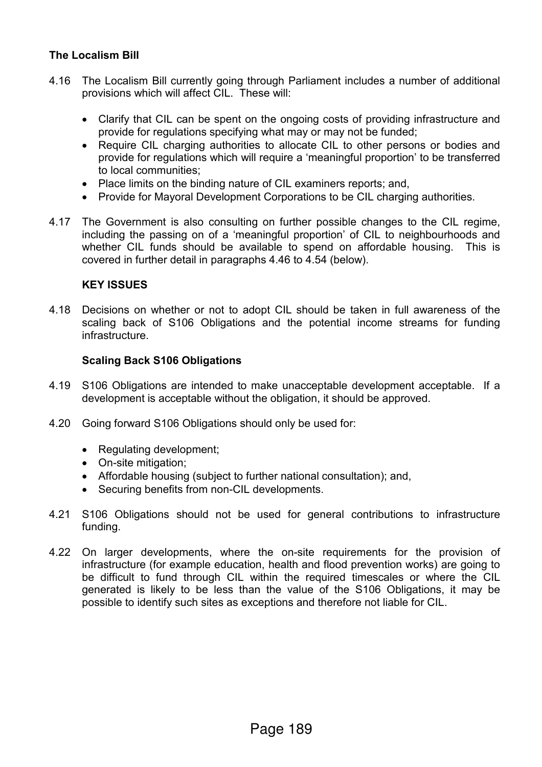### **The Localism Bill**

- 4.16 The Localism Bill currently going through Parliament includes a number of additional provisions which will affect CIL. These will:
	- Clarify that CIL can be spent on the ongoing costs of providing infrastructure and provide for regulations specifying what may or may not be funded;
	- Require CIL charging authorities to allocate CIL to other persons or bodies and provide for regulations which will require a 'meaningful proportion' to be transferred to local communities;
	- Place limits on the binding nature of CIL examiners reports; and,
	- Provide for Mayoral Development Corporations to be CIL charging authorities.
- 4.17 The Government is also consulting on further possible changes to the CIL regime, including the passing on of a 'meaningful proportion' of CIL to neighbourhoods and whether CIL funds should be available to spend on affordable housing. This is covered in further detail in paragraphs 4.46 to 4.54 (below).

### **KEY ISSUES**

4.18 Decisions on whether or not to adopt CIL should be taken in full awareness of the scaling back of S106 Obligations and the potential income streams for funding infrastructure.

#### **Scaling Back S106 Obligations**

- 4.19 S106 Obligations are intended to make unacceptable development acceptable. If a development is acceptable without the obligation, it should be approved.
- 4.20 Going forward S106 Obligations should only be used for:
	- Regulating development;
	- On-site mitigation;
	- Affordable housing (subject to further national consultation); and,
	- Securing benefits from non-CIL developments.
- 4.21 S106 Obligations should not be used for general contributions to infrastructure funding.
- 4.22 On larger developments, where the on-site requirements for the provision of infrastructure (for example education, health and flood prevention works) are going to be difficult to fund through CIL within the required timescales or where the CIL generated is likely to be less than the value of the S106 Obligations, it may be possible to identify such sites as exceptions and therefore not liable for CIL.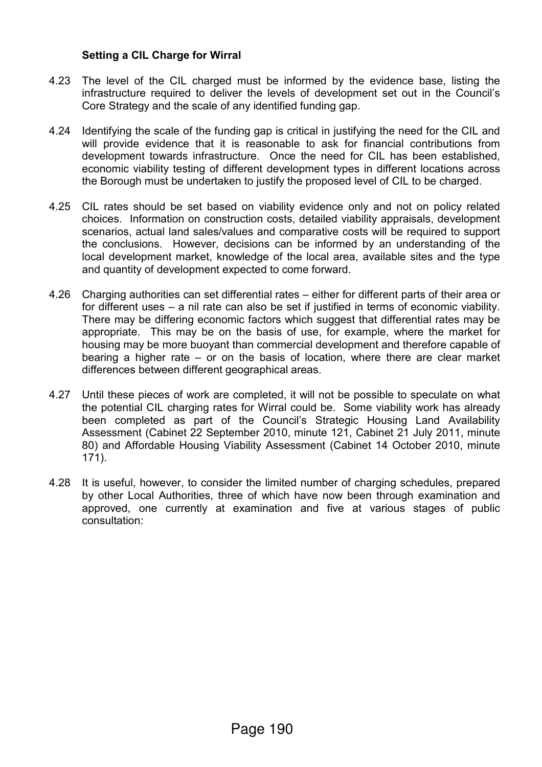#### **Setting a CIL Charge for Wirral**

- 4.23 The level of the CIL charged must be informed by the evidence base, listing the infrastructure required to deliver the levels of development set out in the Council's Core Strategy and the scale of any identified funding gap.
- 4.24 Identifying the scale of the funding gap is critical in justifying the need for the CIL and will provide evidence that it is reasonable to ask for financial contributions from development towards infrastructure. Once the need for CIL has been established, economic viability testing of different development types in different locations across the Borough must be undertaken to justify the proposed level of CIL to be charged.
- 4.25 CIL rates should be set based on viability evidence only and not on policy related choices. Information on construction costs, detailed viability appraisals, development scenarios, actual land sales/values and comparative costs will be required to support the conclusions. However, decisions can be informed by an understanding of the local development market, knowledge of the local area, available sites and the type and quantity of development expected to come forward.
- 4.26 Charging authorities can set differential rates either for different parts of their area or for different uses – a nil rate can also be set if justified in terms of economic viability. There may be differing economic factors which suggest that differential rates may be appropriate. This may be on the basis of use, for example, where the market for housing may be more buoyant than commercial development and therefore capable of bearing a higher rate – or on the basis of location, where there are clear market differences between different geographical areas.
- 4.27 Until these pieces of work are completed, it will not be possible to speculate on what the potential CIL charging rates for Wirral could be. Some viability work has already been completed as part of the Council's Strategic Housing Land Availability Assessment (Cabinet 22 September 2010, minute 121, Cabinet 21 July 2011, minute 80) and Affordable Housing Viability Assessment (Cabinet 14 October 2010, minute 171).
- 4.28 It is useful, however, to consider the limited number of charging schedules, prepared by other Local Authorities, three of which have now been through examination and approved, one currently at examination and five at various stages of public consultation: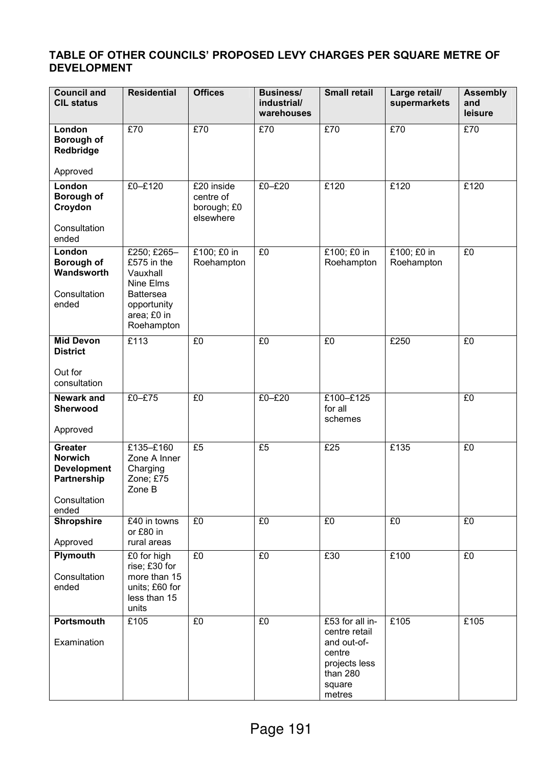### **TABLE OF OTHER COUNCILS' PROPOSED LEVY CHARGES PER SQUARE METRE OF DEVELOPMENT**

| <b>Council and</b><br><b>CIL status</b>                                                        | <b>Residential</b>                                                                                                  | <b>Offices</b>                                      | <b>Business/</b><br>industrial/<br>warehouses | <b>Small retail</b>                                                                                        | Large retail/<br>supermarkets | <b>Assembly</b><br>and<br>leisure |
|------------------------------------------------------------------------------------------------|---------------------------------------------------------------------------------------------------------------------|-----------------------------------------------------|-----------------------------------------------|------------------------------------------------------------------------------------------------------------|-------------------------------|-----------------------------------|
| London<br><b>Borough of</b><br>Redbridge                                                       | E70                                                                                                                 | E70                                                 | £70                                           | E70                                                                                                        | E70                           | E70                               |
| Approved                                                                                       |                                                                                                                     |                                                     |                                               |                                                                                                            |                               |                                   |
| London<br><b>Borough of</b><br>Croydon                                                         | £0-£120                                                                                                             | £20 inside<br>centre of<br>borough; £0<br>elsewhere | $£0-E20$                                      | £120                                                                                                       | £120                          | £120                              |
| Consultation<br>ended                                                                          |                                                                                                                     |                                                     |                                               |                                                                                                            |                               |                                   |
| London<br>Borough of<br>Wandsworth<br>Consultation<br>ended                                    | £250; £265-<br>£575 in the<br>Vauxhall<br>Nine Elms<br><b>Battersea</b><br>opportunity<br>area; £0 in<br>Roehampton | £100; £0 in<br>Roehampton                           | E <sub>0</sub>                                | £100; £0 in<br>Roehampton                                                                                  | £100; £0 in<br>Roehampton     | $E_0$                             |
| <b>Mid Devon</b><br><b>District</b>                                                            | E113                                                                                                                | E <sub>0</sub>                                      | £0                                            | E <sub>0</sub>                                                                                             | £250                          | $E_0$                             |
| Out for<br>consultation                                                                        |                                                                                                                     |                                                     |                                               |                                                                                                            |                               |                                   |
| <b>Newark and</b><br><b>Sherwood</b>                                                           | £0-£75                                                                                                              | E <sub>0</sub>                                      | $£0-E20$                                      | £100-£125<br>for all<br>schemes                                                                            |                               | E <sub>0</sub>                    |
| Approved                                                                                       |                                                                                                                     |                                                     |                                               |                                                                                                            |                               |                                   |
| <b>Greater</b><br><b>Norwich</b><br><b>Development</b><br>Partnership<br>Consultation<br>ended | £135-£160<br>Zone A Inner<br>Charging<br>Zone; £75<br>Zone B                                                        | £5                                                  | £5                                            | £25                                                                                                        | £135                          | £0                                |
| <b>Shropshire</b><br>Approved                                                                  | £40 in towns<br>or £80 in<br>rural areas                                                                            | E <sub>0</sub>                                      | £0                                            | $E_0$                                                                                                      | £0                            | £0                                |
| Plymouth<br>Consultation<br>ended                                                              | £0 for high<br>rise; £30 for<br>more than 15<br>units; £60 for<br>less than 15<br>units                             | £0                                                  | £0                                            | £30                                                                                                        | £100                          | £0                                |
| Portsmouth<br>Examination                                                                      | £105                                                                                                                | £0                                                  | £0                                            | £53 for all in-<br>centre retail<br>and out-of-<br>centre<br>projects less<br>than 280<br>square<br>metres | £105                          | £105                              |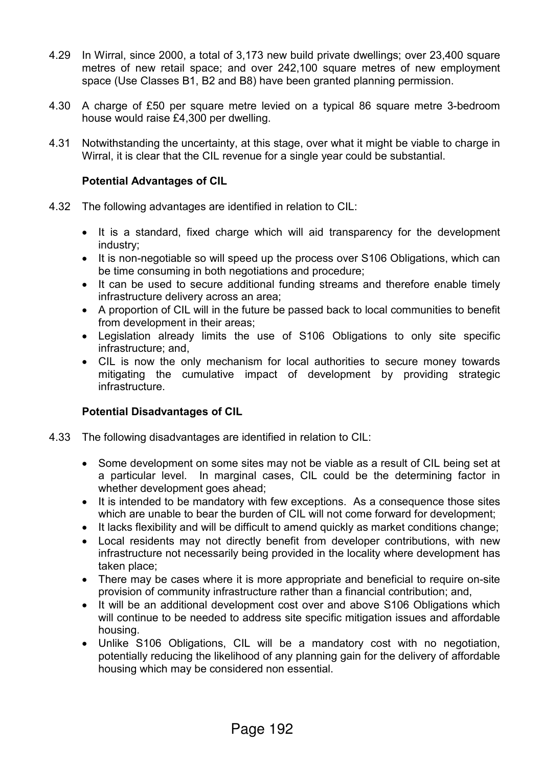- 4.29 In Wirral, since 2000, a total of 3,173 new build private dwellings; over 23,400 square metres of new retail space; and over 242,100 square metres of new employment space (Use Classes B1, B2 and B8) have been granted planning permission.
- 4.30 A charge of £50 per square metre levied on a typical 86 square metre 3-bedroom house would raise £4,300 per dwelling.
- 4.31 Notwithstanding the uncertainty, at this stage, over what it might be viable to charge in Wirral, it is clear that the CIL revenue for a single year could be substantial.

### **Potential Advantages of CIL**

- 4.32 The following advantages are identified in relation to CIL:
	- It is a standard, fixed charge which will aid transparency for the development industry;
	- It is non-negotiable so will speed up the process over S106 Obligations, which can be time consuming in both negotiations and procedure;
	- It can be used to secure additional funding streams and therefore enable timely infrastructure delivery across an area;
	- A proportion of CIL will in the future be passed back to local communities to benefit from development in their areas;
	- Legislation already limits the use of S106 Obligations to only site specific infrastructure; and,
	- CIL is now the only mechanism for local authorities to secure money towards mitigating the cumulative impact of development by providing strategic infrastructure.

### **Potential Disadvantages of CIL**

- 4.33 The following disadvantages are identified in relation to CIL:
	- Some development on some sites may not be viable as a result of CIL being set at a particular level. In marginal cases, CIL could be the determining factor in whether development goes ahead;
	- It is intended to be mandatory with few exceptions. As a consequence those sites which are unable to bear the burden of CIL will not come forward for development;
	- It lacks flexibility and will be difficult to amend quickly as market conditions change;
	- Local residents may not directly benefit from developer contributions, with new infrastructure not necessarily being provided in the locality where development has taken place;
	- There may be cases where it is more appropriate and beneficial to require on-site provision of community infrastructure rather than a financial contribution; and,
	- It will be an additional development cost over and above S106 Obligations which will continue to be needed to address site specific mitigation issues and affordable housing.
	- Unlike S106 Obligations, CIL will be a mandatory cost with no negotiation, potentially reducing the likelihood of any planning gain for the delivery of affordable housing which may be considered non essential.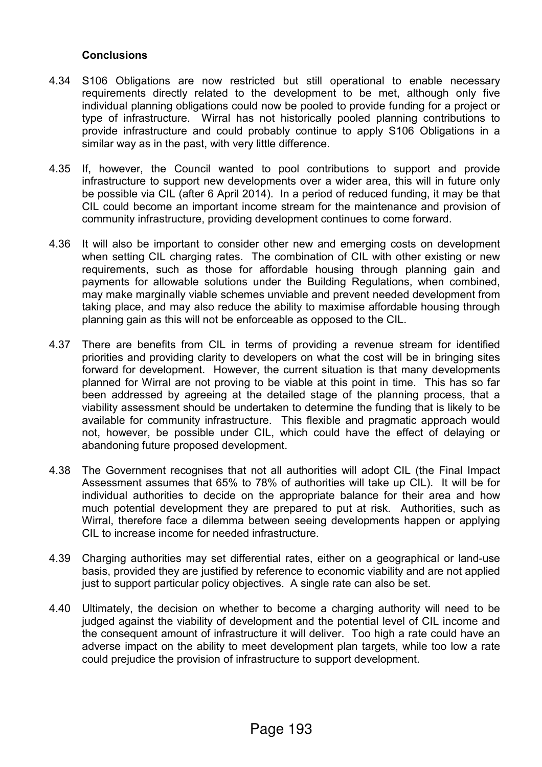### **Conclusions**

- 4.34 S106 Obligations are now restricted but still operational to enable necessary requirements directly related to the development to be met, although only five individual planning obligations could now be pooled to provide funding for a project or type of infrastructure. Wirral has not historically pooled planning contributions to provide infrastructure and could probably continue to apply S106 Obligations in a similar way as in the past, with very little difference.
- 4.35 If, however, the Council wanted to pool contributions to support and provide infrastructure to support new developments over a wider area, this will in future only be possible via CIL (after 6 April 2014). In a period of reduced funding, it may be that CIL could become an important income stream for the maintenance and provision of community infrastructure, providing development continues to come forward.
- 4.36 It will also be important to consider other new and emerging costs on development when setting CIL charging rates. The combination of CIL with other existing or new requirements, such as those for affordable housing through planning gain and payments for allowable solutions under the Building Regulations, when combined, may make marginally viable schemes unviable and prevent needed development from taking place, and may also reduce the ability to maximise affordable housing through planning gain as this will not be enforceable as opposed to the CIL.
- 4.37 There are benefits from CIL in terms of providing a revenue stream for identified priorities and providing clarity to developers on what the cost will be in bringing sites forward for development. However, the current situation is that many developments planned for Wirral are not proving to be viable at this point in time. This has so far been addressed by agreeing at the detailed stage of the planning process, that a viability assessment should be undertaken to determine the funding that is likely to be available for community infrastructure. This flexible and pragmatic approach would not, however, be possible under CIL, which could have the effect of delaying or abandoning future proposed development.
- 4.38 The Government recognises that not all authorities will adopt CIL (the Final Impact Assessment assumes that 65% to 78% of authorities will take up CIL). It will be for individual authorities to decide on the appropriate balance for their area and how much potential development they are prepared to put at risk. Authorities, such as Wirral, therefore face a dilemma between seeing developments happen or applying CIL to increase income for needed infrastructure.
- 4.39 Charging authorities may set differential rates, either on a geographical or land-use basis, provided they are justified by reference to economic viability and are not applied just to support particular policy objectives. A single rate can also be set.
- 4.40 Ultimately, the decision on whether to become a charging authority will need to be judged against the viability of development and the potential level of CIL income and the consequent amount of infrastructure it will deliver. Too high a rate could have an adverse impact on the ability to meet development plan targets, while too low a rate could prejudice the provision of infrastructure to support development.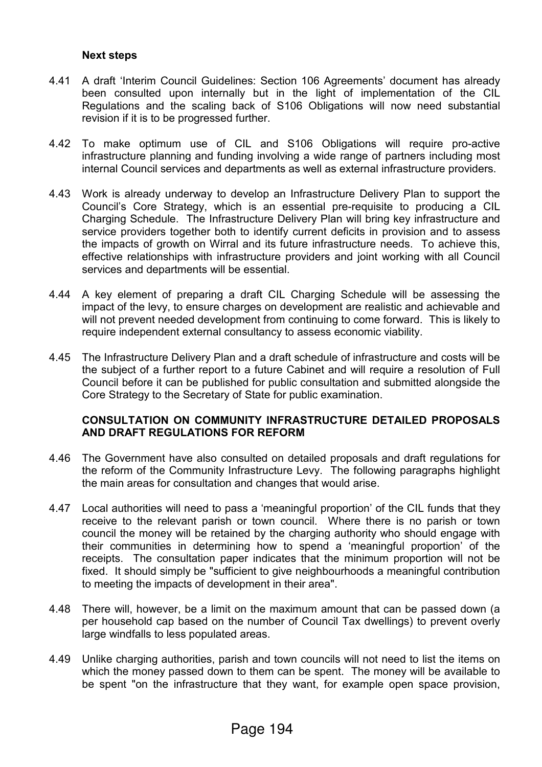#### **Next steps**

- 4.41 A draft 'Interim Council Guidelines: Section 106 Agreements' document has already been consulted upon internally but in the light of implementation of the CIL Regulations and the scaling back of S106 Obligations will now need substantial revision if it is to be progressed further.
- 4.42 To make optimum use of CIL and S106 Obligations will require pro-active infrastructure planning and funding involving a wide range of partners including most internal Council services and departments as well as external infrastructure providers.
- 4.43 Work is already underway to develop an Infrastructure Delivery Plan to support the Council's Core Strategy, which is an essential pre-requisite to producing a CIL Charging Schedule. The Infrastructure Delivery Plan will bring key infrastructure and service providers together both to identify current deficits in provision and to assess the impacts of growth on Wirral and its future infrastructure needs. To achieve this, effective relationships with infrastructure providers and joint working with all Council services and departments will be essential.
- 4.44 A key element of preparing a draft CIL Charging Schedule will be assessing the impact of the levy, to ensure charges on development are realistic and achievable and will not prevent needed development from continuing to come forward. This is likely to require independent external consultancy to assess economic viability.
- 4.45 The Infrastructure Delivery Plan and a draft schedule of infrastructure and costs will be the subject of a further report to a future Cabinet and will require a resolution of Full Council before it can be published for public consultation and submitted alongside the Core Strategy to the Secretary of State for public examination.

#### **CONSULTATION ON COMMUNITY INFRASTRUCTURE DETAILED PROPOSALS AND DRAFT REGULATIONS FOR REFORM**

- 4.46 The Government have also consulted on detailed proposals and draft regulations for the reform of the Community Infrastructure Levy. The following paragraphs highlight the main areas for consultation and changes that would arise.
- 4.47 Local authorities will need to pass a 'meaningful proportion' of the CIL funds that they receive to the relevant parish or town council. Where there is no parish or town council the money will be retained by the charging authority who should engage with their communities in determining how to spend a 'meaningful proportion' of the receipts. The consultation paper indicates that the minimum proportion will not be fixed. It should simply be "sufficient to give neighbourhoods a meaningful contribution to meeting the impacts of development in their area".
- 4.48 There will, however, be a limit on the maximum amount that can be passed down (a per household cap based on the number of Council Tax dwellings) to prevent overly large windfalls to less populated areas.
- 4.49 Unlike charging authorities, parish and town councils will not need to list the items on which the money passed down to them can be spent. The money will be available to be spent "on the infrastructure that they want, for example open space provision,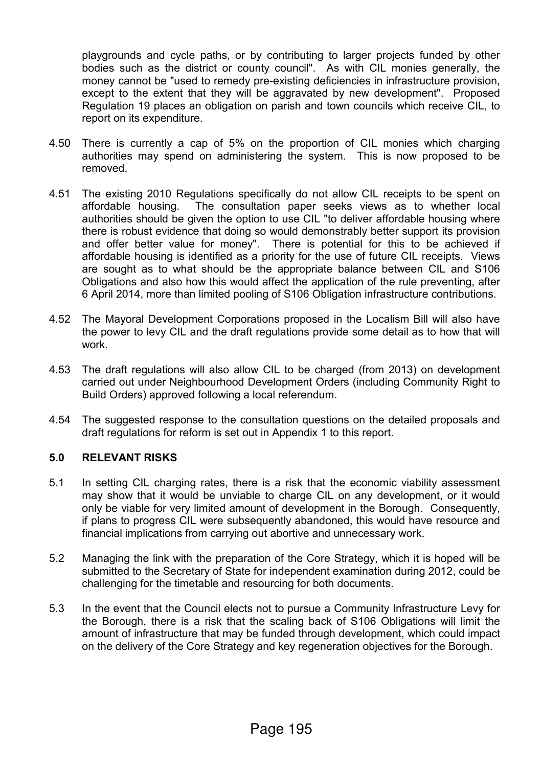playgrounds and cycle paths, or by contributing to larger projects funded by other bodies such as the district or county council". As with CIL monies generally, the money cannot be "used to remedy pre-existing deficiencies in infrastructure provision, except to the extent that they will be aggravated by new development". Proposed Regulation 19 places an obligation on parish and town councils which receive CIL, to report on its expenditure.

- 4.50 There is currently a cap of 5% on the proportion of CIL monies which charging authorities may spend on administering the system. This is now proposed to be removed.
- 4.51 The existing 2010 Regulations specifically do not allow CIL receipts to be spent on affordable housing. The consultation paper seeks views as to whether local authorities should be given the option to use CIL "to deliver affordable housing where there is robust evidence that doing so would demonstrably better support its provision and offer better value for money". There is potential for this to be achieved if affordable housing is identified as a priority for the use of future CIL receipts. Views are sought as to what should be the appropriate balance between CIL and S106 Obligations and also how this would affect the application of the rule preventing, after 6 April 2014, more than limited pooling of S106 Obligation infrastructure contributions.
- 4.52 The Mayoral Development Corporations proposed in the Localism Bill will also have the power to levy CIL and the draft regulations provide some detail as to how that will work.
- 4.53 The draft regulations will also allow CIL to be charged (from 2013) on development carried out under Neighbourhood Development Orders (including Community Right to Build Orders) approved following a local referendum.
- 4.54 The suggested response to the consultation questions on the detailed proposals and draft regulations for reform is set out in Appendix 1 to this report.

### **5.0 RELEVANT RISKS**

- 5.1 In setting CIL charging rates, there is a risk that the economic viability assessment may show that it would be unviable to charge CIL on any development, or it would only be viable for very limited amount of development in the Borough. Consequently, if plans to progress CIL were subsequently abandoned, this would have resource and financial implications from carrying out abortive and unnecessary work.
- 5.2 Managing the link with the preparation of the Core Strategy, which it is hoped will be submitted to the Secretary of State for independent examination during 2012, could be challenging for the timetable and resourcing for both documents.
- 5.3 In the event that the Council elects not to pursue a Community Infrastructure Levy for the Borough, there is a risk that the scaling back of S106 Obligations will limit the amount of infrastructure that may be funded through development, which could impact on the delivery of the Core Strategy and key regeneration objectives for the Borough.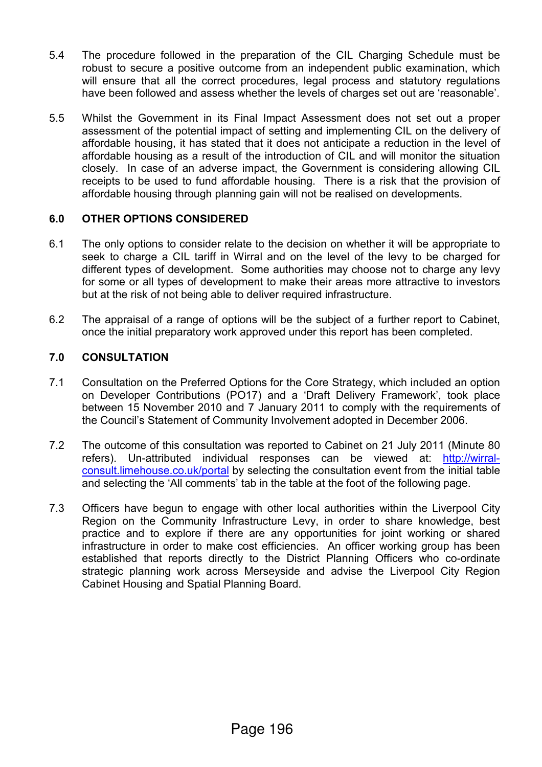- 5.4 The procedure followed in the preparation of the CIL Charging Schedule must be robust to secure a positive outcome from an independent public examination, which will ensure that all the correct procedures, legal process and statutory regulations have been followed and assess whether the levels of charges set out are 'reasonable'.
- 5.5 Whilst the Government in its Final Impact Assessment does not set out a proper assessment of the potential impact of setting and implementing CIL on the delivery of affordable housing, it has stated that it does not anticipate a reduction in the level of affordable housing as a result of the introduction of CIL and will monitor the situation closely. In case of an adverse impact, the Government is considering allowing CIL receipts to be used to fund affordable housing. There is a risk that the provision of affordable housing through planning gain will not be realised on developments.

### **6.0 OTHER OPTIONS CONSIDERED**

- 6.1 The only options to consider relate to the decision on whether it will be appropriate to seek to charge a CIL tariff in Wirral and on the level of the levy to be charged for different types of development. Some authorities may choose not to charge any levy for some or all types of development to make their areas more attractive to investors but at the risk of not being able to deliver required infrastructure.
- 6.2 The appraisal of a range of options will be the subject of a further report to Cabinet, once the initial preparatory work approved under this report has been completed.

### **7.0 CONSULTATION**

- 7.1 Consultation on the Preferred Options for the Core Strategy, which included an option on Developer Contributions (PO17) and a 'Draft Delivery Framework', took place between 15 November 2010 and 7 January 2011 to comply with the requirements of the Council's Statement of Community Involvement adopted in December 2006.
- 7.2 The outcome of this consultation was reported to Cabinet on 21 July 2011 (Minute 80 refers). Un-attributed individual responses can be viewed at: http://wirralconsult.limehouse.co.uk/portal by selecting the consultation event from the initial table and selecting the 'All comments' tab in the table at the foot of the following page.
- 7.3 Officers have begun to engage with other local authorities within the Liverpool City Region on the Community Infrastructure Levy, in order to share knowledge, best practice and to explore if there are any opportunities for joint working or shared infrastructure in order to make cost efficiencies. An officer working group has been established that reports directly to the District Planning Officers who co-ordinate strategic planning work across Merseyside and advise the Liverpool City Region Cabinet Housing and Spatial Planning Board.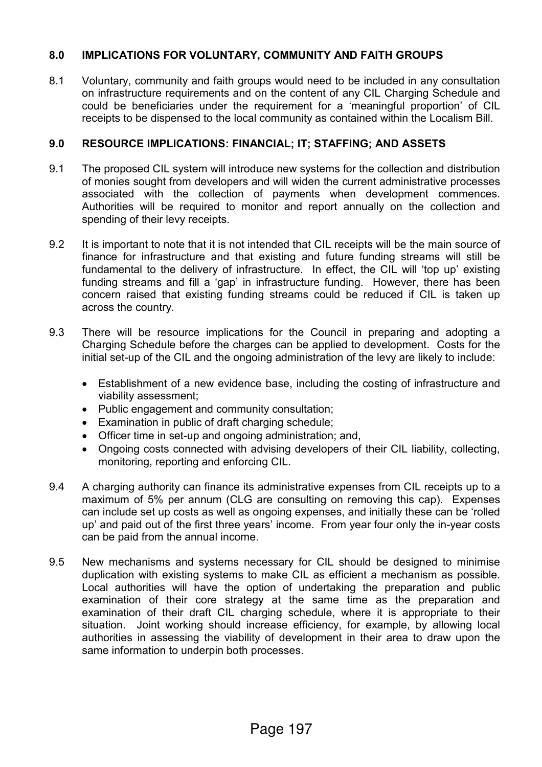### **8.0 IMPLICATIONS FOR VOLUNTARY, COMMUNITY AND FAITH GROUPS**

8.1 Voluntary, community and faith groups would need to be included in any consultation on infrastructure requirements and on the content of any CIL Charging Schedule and could be beneficiaries under the requirement for a 'meaningful proportion' of CIL receipts to be dispensed to the local community as contained within the Localism Bill.

### **9.0 RESOURCE IMPLICATIONS: FINANCIAL; IT; STAFFING; AND ASSETS**

- 9.1 The proposed CIL system will introduce new systems for the collection and distribution of monies sought from developers and will widen the current administrative processes associated with the collection of payments when development commences. Authorities will be required to monitor and report annually on the collection and spending of their levy receipts.
- 9.2 It is important to note that it is not intended that CIL receipts will be the main source of finance for infrastructure and that existing and future funding streams will still be fundamental to the delivery of infrastructure. In effect, the CIL will 'top up' existing funding streams and fill a 'gap' in infrastructure funding. However, there has been concern raised that existing funding streams could be reduced if CIL is taken up across the country.
- 9.3 There will be resource implications for the Council in preparing and adopting a Charging Schedule before the charges can be applied to development. Costs for the initial set-up of the CIL and the ongoing administration of the levy are likely to include:
	- Establishment of a new evidence base, including the costing of infrastructure and viability assessment;
	- Public engagement and community consultation;
	- Examination in public of draft charging schedule;
	- Officer time in set-up and ongoing administration; and,
	- Ongoing costs connected with advising developers of their CIL liability, collecting, monitoring, reporting and enforcing CIL.
- 9.4 A charging authority can finance its administrative expenses from CIL receipts up to a maximum of 5% per annum (CLG are consulting on removing this cap). Expenses can include set up costs as well as ongoing expenses, and initially these can be 'rolled up' and paid out of the first three years' income. From year four only the in-year costs can be paid from the annual income.
- 9.5 New mechanisms and systems necessary for CIL should be designed to minimise duplication with existing systems to make CIL as efficient a mechanism as possible. Local authorities will have the option of undertaking the preparation and public examination of their core strategy at the same time as the preparation and examination of their draft CIL charging schedule, where it is appropriate to their situation. Joint working should increase efficiency, for example, by allowing local authorities in assessing the viability of development in their area to draw upon the same information to underpin both processes.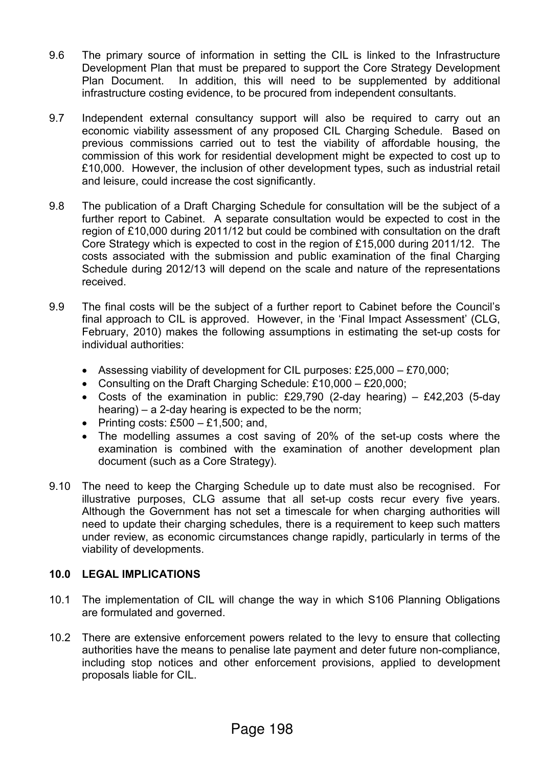- 9.6 The primary source of information in setting the CIL is linked to the Infrastructure Development Plan that must be prepared to support the Core Strategy Development Plan Document. In addition, this will need to be supplemented by additional infrastructure costing evidence, to be procured from independent consultants.
- 9.7 Independent external consultancy support will also be required to carry out an economic viability assessment of any proposed CIL Charging Schedule. Based on previous commissions carried out to test the viability of affordable housing, the commission of this work for residential development might be expected to cost up to £10,000. However, the inclusion of other development types, such as industrial retail and leisure, could increase the cost significantly.
- 9.8 The publication of a Draft Charging Schedule for consultation will be the subject of a further report to Cabinet. A separate consultation would be expected to cost in the region of £10,000 during 2011/12 but could be combined with consultation on the draft Core Strategy which is expected to cost in the region of £15,000 during 2011/12. The costs associated with the submission and public examination of the final Charging Schedule during 2012/13 will depend on the scale and nature of the representations received.
- 9.9 The final costs will be the subject of a further report to Cabinet before the Council's final approach to CIL is approved. However, in the 'Final Impact Assessment' (CLG, February, 2010) makes the following assumptions in estimating the set-up costs for individual authorities:
	- Assessing viability of development for CIL purposes: £25,000 £70,000;
	- Consulting on the Draft Charging Schedule: £10,000 £20,000;
	- Costs of the examination in public: £29,790 (2-day hearing) £42,203 (5-day hearing) – a 2-day hearing is expected to be the norm;
	- Printing costs:  $£500 £1,500$ ; and,
	- The modelling assumes a cost saving of 20% of the set-up costs where the examination is combined with the examination of another development plan document (such as a Core Strategy).
- 9.10 The need to keep the Charging Schedule up to date must also be recognised. For illustrative purposes, CLG assume that all set-up costs recur every five years. Although the Government has not set a timescale for when charging authorities will need to update their charging schedules, there is a requirement to keep such matters under review, as economic circumstances change rapidly, particularly in terms of the viability of developments.

### **10.0 LEGAL IMPLICATIONS**

- 10.1 The implementation of CIL will change the way in which S106 Planning Obligations are formulated and governed.
- 10.2 There are extensive enforcement powers related to the levy to ensure that collecting authorities have the means to penalise late payment and deter future non-compliance, including stop notices and other enforcement provisions, applied to development proposals liable for CIL.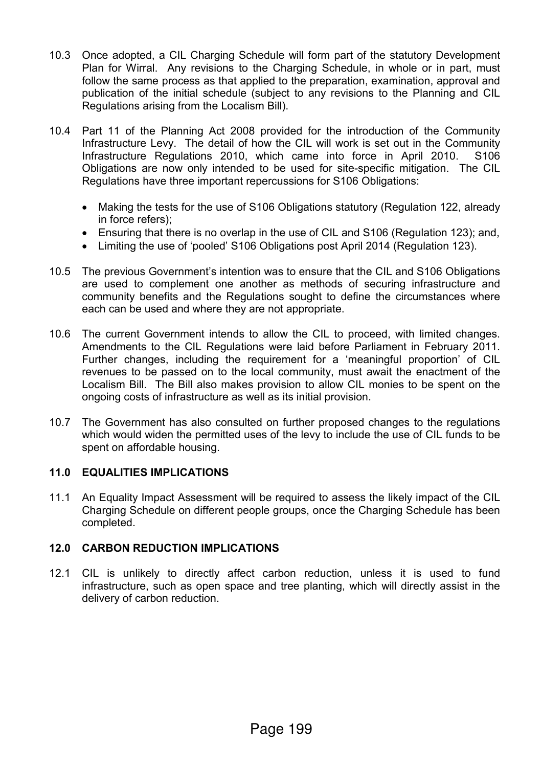- 10.3 Once adopted, a CIL Charging Schedule will form part of the statutory Development Plan for Wirral. Any revisions to the Charging Schedule, in whole or in part, must follow the same process as that applied to the preparation, examination, approval and publication of the initial schedule (subject to any revisions to the Planning and CIL Regulations arising from the Localism Bill).
- 10.4 Part 11 of the Planning Act 2008 provided for the introduction of the Community Infrastructure Levy. The detail of how the CIL will work is set out in the Community Infrastructure Regulations 2010, which came into force in April 2010. S106 Obligations are now only intended to be used for site-specific mitigation. The CIL Regulations have three important repercussions for S106 Obligations:
	- Making the tests for the use of S106 Obligations statutory (Regulation 122, already in force refers);
	- Ensuring that there is no overlap in the use of CIL and S106 (Regulation 123); and,
	- Limiting the use of 'pooled' S106 Obligations post April 2014 (Regulation 123).
- 10.5 The previous Government's intention was to ensure that the CIL and S106 Obligations are used to complement one another as methods of securing infrastructure and community benefits and the Regulations sought to define the circumstances where each can be used and where they are not appropriate.
- 10.6 The current Government intends to allow the CIL to proceed, with limited changes. Amendments to the CIL Regulations were laid before Parliament in February 2011. Further changes, including the requirement for a 'meaningful proportion' of CIL revenues to be passed on to the local community, must await the enactment of the Localism Bill. The Bill also makes provision to allow CIL monies to be spent on the ongoing costs of infrastructure as well as its initial provision.
- 10.7 The Government has also consulted on further proposed changes to the regulations which would widen the permitted uses of the levy to include the use of CIL funds to be spent on affordable housing.

#### **11.0 EQUALITIES IMPLICATIONS**

11.1 An Equality Impact Assessment will be required to assess the likely impact of the CIL Charging Schedule on different people groups, once the Charging Schedule has been completed.

#### **12.0 CARBON REDUCTION IMPLICATIONS**

12.1 CIL is unlikely to directly affect carbon reduction, unless it is used to fund infrastructure, such as open space and tree planting, which will directly assist in the delivery of carbon reduction.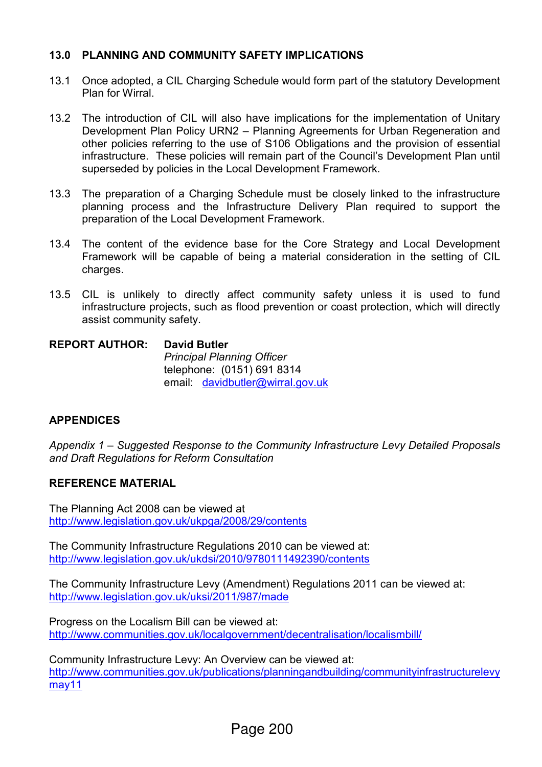### **13.0 PLANNING AND COMMUNITY SAFETY IMPLICATIONS**

- 13.1 Once adopted, a CIL Charging Schedule would form part of the statutory Development Plan for Wirral.
- 13.2 The introduction of CIL will also have implications for the implementation of Unitary Development Plan Policy URN2 – Planning Agreements for Urban Regeneration and other policies referring to the use of S106 Obligations and the provision of essential infrastructure. These policies will remain part of the Council's Development Plan until superseded by policies in the Local Development Framework.
- 13.3 The preparation of a Charging Schedule must be closely linked to the infrastructure planning process and the Infrastructure Delivery Plan required to support the preparation of the Local Development Framework.
- 13.4 The content of the evidence base for the Core Strategy and Local Development Framework will be capable of being a material consideration in the setting of CIL charges.
- 13.5 CIL is unlikely to directly affect community safety unless it is used to fund infrastructure projects, such as flood prevention or coast protection, which will directly assist community safety.

### **REPORT AUTHOR: David Butler** *Principal Planning Officer* telephone: (0151) 691 8314 email: davidbutler@wirral.gov.uk

### **APPENDICES**

*Appendix 1 – Suggested Response to the Community Infrastructure Levy Detailed Proposals and Draft Regulations for Reform Consultation* 

### **REFERENCE MATERIAL**

The Planning Act 2008 can be viewed at http://www.legislation.gov.uk/ukpga/2008/29/contents

The Community Infrastructure Regulations 2010 can be viewed at: http://www.legislation.gov.uk/ukdsi/2010/9780111492390/contents

The Community Infrastructure Levy (Amendment) Regulations 2011 can be viewed at: http://www.legislation.gov.uk/uksi/2011/987/made

Progress on the Localism Bill can be viewed at: http://www.communities.gov.uk/localgovernment/decentralisation/localismbill/

Community Infrastructure Levy: An Overview can be viewed at: http://www.communities.gov.uk/publications/planningandbuilding/communityinfrastructurelevy may11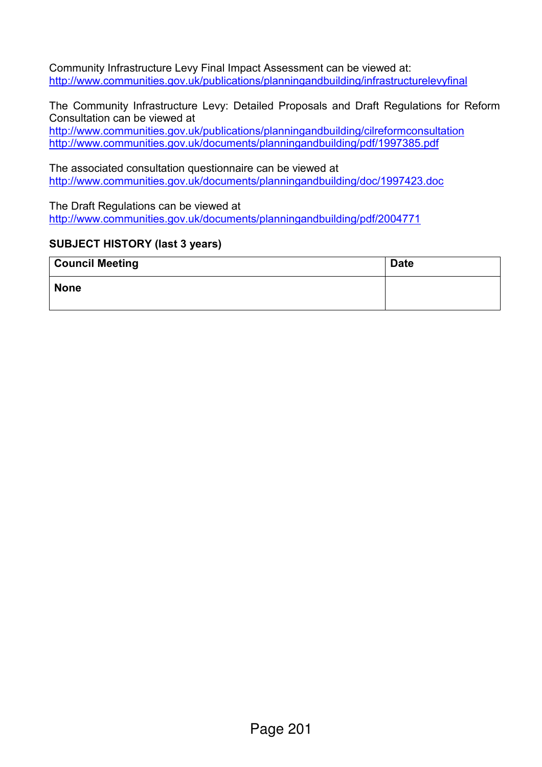Community Infrastructure Levy Final Impact Assessment can be viewed at: http://www.communities.gov.uk/publications/planningandbuilding/infrastructurelevyfinal

The Community Infrastructure Levy: Detailed Proposals and Draft Regulations for Reform Consultation can be viewed at

http://www.communities.gov.uk/publications/planningandbuilding/cilreformconsultation http://www.communities.gov.uk/documents/planningandbuilding/pdf/1997385.pdf

The associated consultation questionnaire can be viewed at http://www.communities.gov.uk/documents/planningandbuilding/doc/1997423.doc

The Draft Regulations can be viewed at http://www.communities.gov.uk/documents/planningandbuilding/pdf/2004771

### **SUBJECT HISTORY (last 3 years)**

| <b>Council Meeting</b> | <b>Date</b> |
|------------------------|-------------|
| <b>None</b>            |             |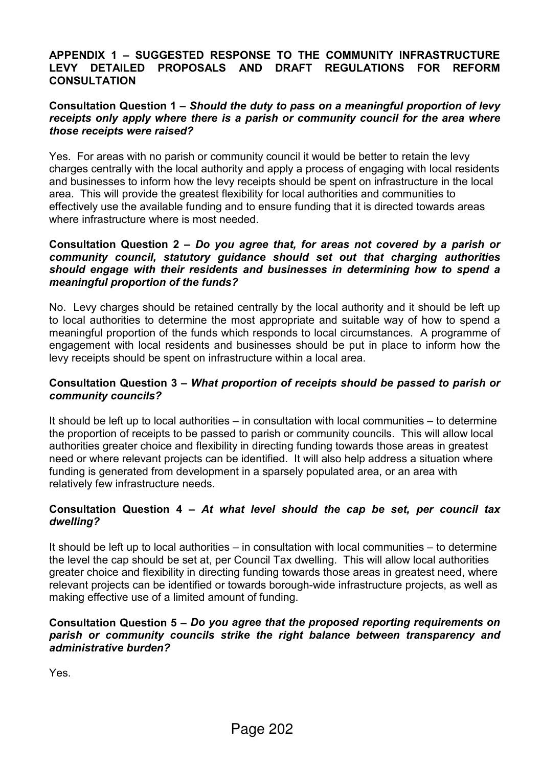### **APPENDIX 1 – SUGGESTED RESPONSE TO THE COMMUNITY INFRASTRUCTURE LEVY DETAILED PROPOSALS AND DRAFT REGULATIONS FOR REFORM CONSULTATION**

#### **Consultation Question 1 –** *Should the duty to pass on a meaningful proportion of levy receipts only apply where there is a parish or community council for the area where those receipts were raised?*

Yes. For areas with no parish or community council it would be better to retain the levy charges centrally with the local authority and apply a process of engaging with local residents and businesses to inform how the levy receipts should be spent on infrastructure in the local area. This will provide the greatest flexibility for local authorities and communities to effectively use the available funding and to ensure funding that it is directed towards areas where infrastructure where is most needed.

#### **Consultation Question 2 –** *Do you agree that, for areas not covered by a parish or community council, statutory guidance should set out that charging authorities should engage with their residents and businesses in determining how to spend a meaningful proportion of the funds?*

No. Levy charges should be retained centrally by the local authority and it should be left up to local authorities to determine the most appropriate and suitable way of how to spend a meaningful proportion of the funds which responds to local circumstances. A programme of engagement with local residents and businesses should be put in place to inform how the levy receipts should be spent on infrastructure within a local area.

#### **Consultation Question 3 –** *What proportion of receipts should be passed to parish or community councils?*

It should be left up to local authorities – in consultation with local communities – to determine the proportion of receipts to be passed to parish or community councils. This will allow local authorities greater choice and flexibility in directing funding towards those areas in greatest need or where relevant projects can be identified. It will also help address a situation where funding is generated from development in a sparsely populated area, or an area with relatively few infrastructure needs.

### **Consultation Question 4 –** *At what level should the cap be set, per council tax dwelling?*

It should be left up to local authorities – in consultation with local communities – to determine the level the cap should be set at, per Council Tax dwelling. This will allow local authorities greater choice and flexibility in directing funding towards those areas in greatest need, where relevant projects can be identified or towards borough-wide infrastructure projects, as well as making effective use of a limited amount of funding.

#### **Consultation Question 5 –** *Do you agree that the proposed reporting requirements on parish or community councils strike the right balance between transparency and administrative burden?*

Yes.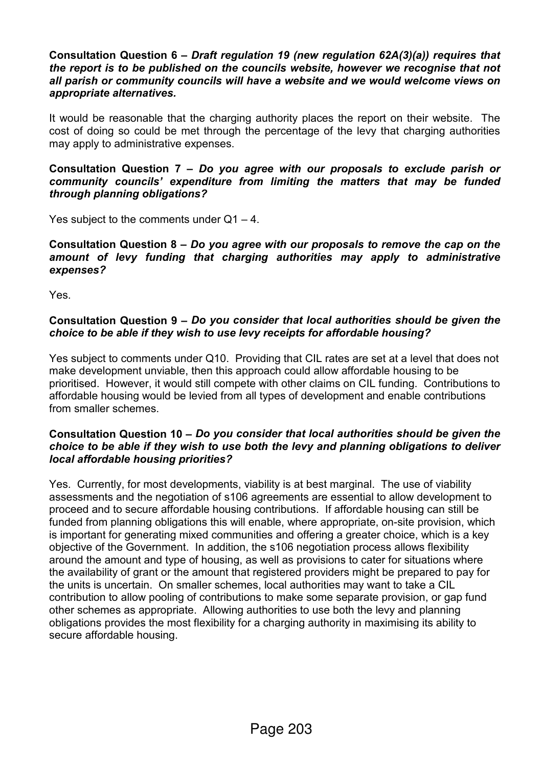#### **Consultation Question 6 –** *Draft regulation 19 (new regulation 62A(3)(a)) requires that the report is to be published on the councils website, however we recognise that not all parish or community councils will have a website and we would welcome views on appropriate alternatives.*

It would be reasonable that the charging authority places the report on their website. The cost of doing so could be met through the percentage of the levy that charging authorities may apply to administrative expenses.

**Consultation Question 7 –** *Do you agree with our proposals to exclude parish or community councils' expenditure from limiting the matters that may be funded through planning obligations?*

Yes subject to the comments under  $Q1 - 4$ .

#### **Consultation Question 8 –** *Do you agree with our proposals to remove the cap on the amount of levy funding that charging authorities may apply to administrative expenses?*

Yes.

### **Consultation Question 9 –** *Do you consider that local authorities should be given the choice to be able if they wish to use levy receipts for affordable housing?*

Yes subject to comments under Q10. Providing that CIL rates are set at a level that does not make development unviable, then this approach could allow affordable housing to be prioritised. However, it would still compete with other claims on CIL funding. Contributions to affordable housing would be levied from all types of development and enable contributions from smaller schemes.

#### **Consultation Question 10 –** *Do you consider that local authorities should be given the choice to be able if they wish to use both the levy and planning obligations to deliver local affordable housing priorities?*

Yes. Currently, for most developments, viability is at best marginal. The use of viability assessments and the negotiation of s106 agreements are essential to allow development to proceed and to secure affordable housing contributions. If affordable housing can still be funded from planning obligations this will enable, where appropriate, on-site provision, which is important for generating mixed communities and offering a greater choice, which is a key objective of the Government. In addition, the s106 negotiation process allows flexibility around the amount and type of housing, as well as provisions to cater for situations where the availability of grant or the amount that registered providers might be prepared to pay for the units is uncertain. On smaller schemes, local authorities may want to take a CIL contribution to allow pooling of contributions to make some separate provision, or gap fund other schemes as appropriate. Allowing authorities to use both the levy and planning obligations provides the most flexibility for a charging authority in maximising its ability to secure affordable housing.